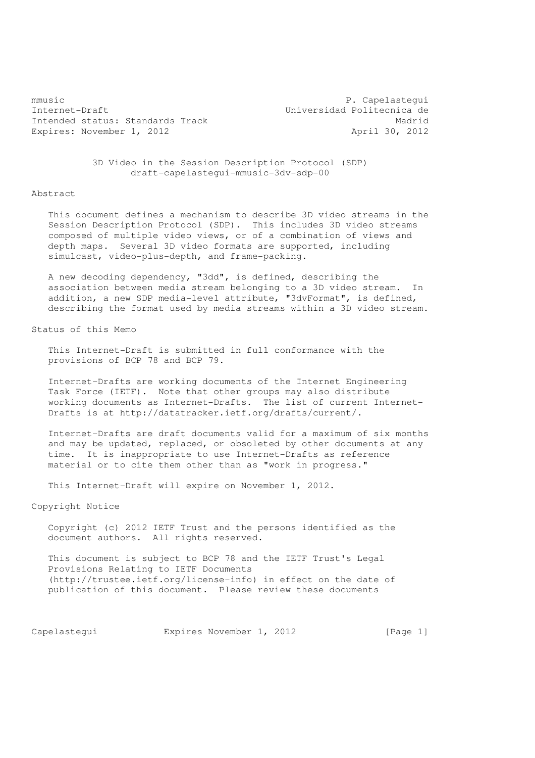mmusic P. Capelastequi Internet-Draft Universidad Politecnica de Intended status: Standards Track Madrid Expires: November 1, 2012 **April 30, 2012** 

 3D Video in the Session Description Protocol (SDP) draft-capelastegui-mmusic-3dv-sdp-00

# Abstract

 This document defines a mechanism to describe 3D video streams in the Session Description Protocol (SDP). This includes 3D video streams composed of multiple video views, or of a combination of views and depth maps. Several 3D video formats are supported, including simulcast, video-plus-depth, and frame-packing.

 A new decoding dependency, "3dd", is defined, describing the association between media stream belonging to a 3D video stream. In addition, a new SDP media-level attribute, "3dvFormat", is defined, describing the format used by media streams within a 3D video stream.

Status of this Memo

 This Internet-Draft is submitted in full conformance with the provisions of BCP 78 and BCP 79.

 Internet-Drafts are working documents of the Internet Engineering Task Force (IETF). Note that other groups may also distribute working documents as Internet-Drafts. The list of current Internet- Drafts is at http://datatracker.ietf.org/drafts/current/.

 Internet-Drafts are draft documents valid for a maximum of six months and may be updated, replaced, or obsoleted by other documents at any time. It is inappropriate to use Internet-Drafts as reference material or to cite them other than as "work in progress."

This Internet-Draft will expire on November 1, 2012.

# Copyright Notice

 Copyright (c) 2012 IETF Trust and the persons identified as the document authors. All rights reserved.

 This document is subject to BCP 78 and the IETF Trust's Legal Provisions Relating to IETF Documents (http://trustee.ietf.org/license-info) in effect on the date of publication of this document. Please review these documents

Capelastequi **Expires November 1, 2012** [Page 1]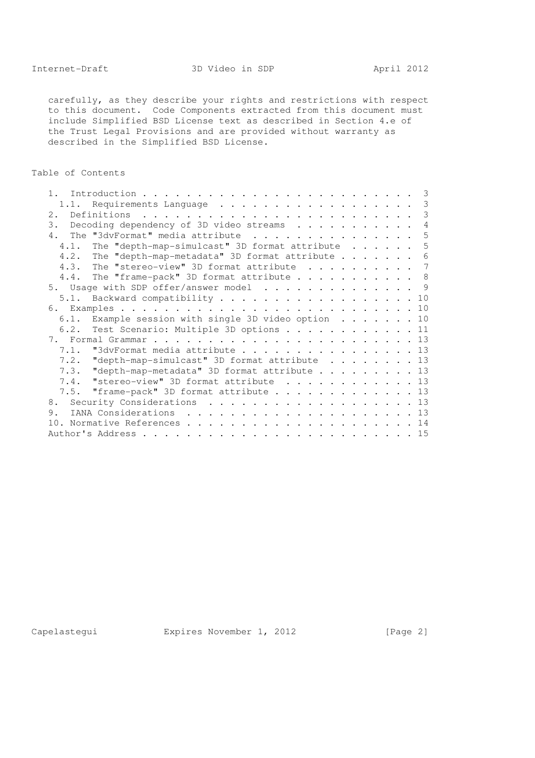carefully, as they describe your rights and restrictions with respect to this document. Code Components extracted from this document must include Simplified BSD License text as described in Section 4.e of the Trust Legal Provisions and are provided without warranty as described in the Simplified BSD License.

# Table of Contents

| 1 <sup>1</sup>                                          |                |
|---------------------------------------------------------|----------------|
| 1.1. Requirements Language                              | 3              |
|                                                         | 3              |
| Decoding dependency of 3D video streams<br>3.           | $\overline{4}$ |
| 4. The "3dvFormat" media attribute                      | 5              |
| The "depth-map-simulcast" 3D format attribute 5<br>4.1. |                |
| 4.2. The "depth-map-metadata" 3D format attribute 6     |                |
| 4.3. The "stereo-view" 3D format attribute  7           |                |
| 4.4. The "frame-pack" 3D format attribute 8             |                |
| 5. Usage with SDP offer/answer model 9                  |                |
| 5.1. Backward compatibility 10                          |                |
|                                                         |                |
| 6.1. Example session with single 3D video option 10     |                |
| 6.2. Test Scenario: Multiple 3D options 11              |                |
|                                                         |                |
| 7.1. "3dvFormat media attribute 13                      |                |
| 7.2. "depth-map-simulcast" 3D format attribute 13       |                |
| 7.3. "depth-map-metadata" 3D format attribute 13        |                |
| 7.4. "stereo-view" 3D format attribute  13              |                |
| 7.5. "frame-pack" 3D format attribute 13                |                |
| 8. Security Considerations 13                           |                |
| 9.                                                      |                |
|                                                         |                |
|                                                         |                |

Capelastegui Expires November 1, 2012 [Page 2]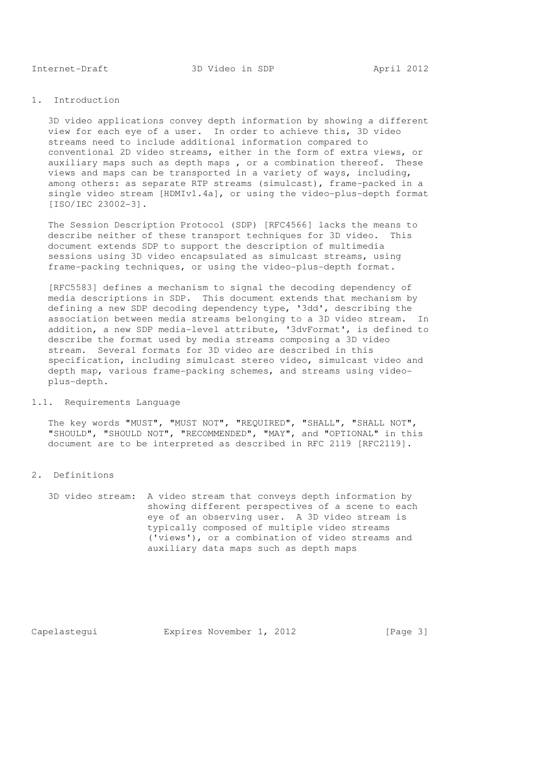## 1. Introduction

 3D video applications convey depth information by showing a different view for each eye of a user. In order to achieve this, 3D video streams need to include additional information compared to conventional 2D video streams, either in the form of extra views, or auxiliary maps such as depth maps , or a combination thereof. These views and maps can be transported in a variety of ways, including, among others: as separate RTP streams (simulcast), frame-packed in a single video stream [HDMIv1.4a], or using the video-plus-depth format [ISO/IEC 23002-3].

 The Session Description Protocol (SDP) [RFC4566] lacks the means to describe neither of these transport techniques for 3D video. This document extends SDP to support the description of multimedia sessions using 3D video encapsulated as simulcast streams, using frame-packing techniques, or using the video-plus-depth format.

 [RFC5583] defines a mechanism to signal the decoding dependency of media descriptions in SDP. This document extends that mechanism by defining a new SDP decoding dependency type, '3dd', describing the association between media streams belonging to a 3D video stream. In addition, a new SDP media-level attribute, '3dvFormat', is defined to describe the format used by media streams composing a 3D video stream. Several formats for 3D video are described in this specification, including simulcast stereo video, simulcast video and depth map, various frame-packing schemes, and streams using video plus-depth.

## 1.1. Requirements Language

 The key words "MUST", "MUST NOT", "REQUIRED", "SHALL", "SHALL NOT", "SHOULD", "SHOULD NOT", "RECOMMENDED", "MAY", and "OPTIONAL" in this document are to be interpreted as described in RFC 2119 [RFC2119].

2. Definitions

 3D video stream: A video stream that conveys depth information by showing different perspectives of a scene to each eye of an observing user. A 3D video stream is typically composed of multiple video streams ('views'), or a combination of video streams and auxiliary data maps such as depth maps

Capelastequi **Expires November 1, 2012** [Page 3]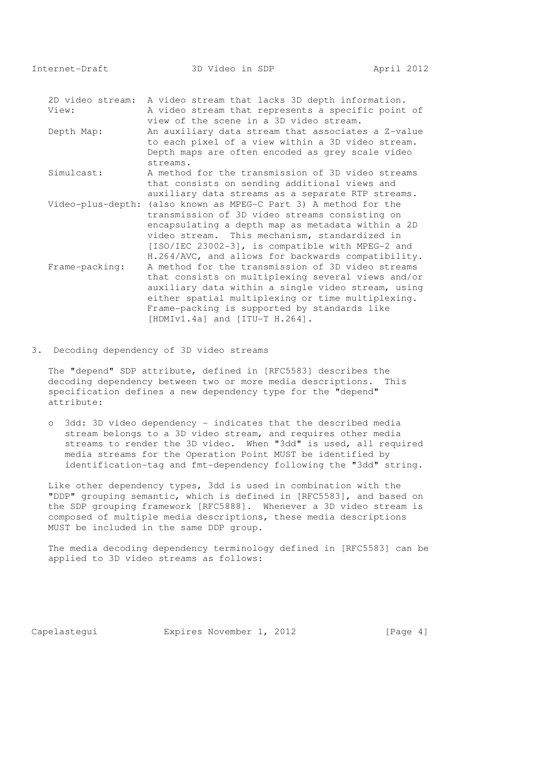Internet-Draft 3D Video in SDP April 2012

|                    | 2D video stream: A video stream that lacks 3D depth information. |
|--------------------|------------------------------------------------------------------|
| View:              | A video stream that represents a specific point of               |
|                    | view of the scene in a 3D video stream.                          |
| Depth Map:         | An auxiliary data stream that associates a Z-value               |
|                    | to each pixel of a view within a 3D video stream.                |
|                    | Depth maps are often encoded as grey scale video                 |
|                    | streams.                                                         |
| Simulcast:         | A method for the transmission of 3D video streams                |
|                    | that consists on sending additional views and                    |
|                    | auxiliary data streams as a separate RTP streams.                |
|                    | Video-plus-depth: (also known as MPEG-C Part 3) A method for the |
|                    | transmission of 3D video streams consisting on                   |
|                    | encapsulating a depth map as metadata within a 2D                |
|                    | video stream. This mechanism, standardized in                    |
|                    | $[ISO/IEC 23002-3]$ , is compatible with MPEG-2 and              |
|                    | H.264/AVC, and allows for backwards compatibility.               |
| $Frame - packing:$ | A method for the transmission of 3D video streams                |
|                    | that consists on multiplexing several views and/or               |
|                    | auxiliary data within a single video stream, using               |
|                    | either spatial multiplexing or time multiplexing.                |
|                    | Frame-packing is supported by standards like                     |
|                    | $[HDMIV1.4a]$ and $[ITU-T H.264]$ .                              |

3. Decoding dependency of 3D video streams

 The "depend" SDP attribute, defined in [RFC5583] describes the decoding dependency between two or more media descriptions. This specification defines a new dependency type for the "depend" attribute:

 o 3dd: 3D video dependency - indicates that the described media stream belongs to a 3D video stream, and requires other media streams to render the 3D video. When "3dd" is used, all required media streams for the Operation Point MUST be identified by identification-tag and fmt-dependency following the "3dd" string.

 Like other dependency types, 3dd is used in combination with the "DDP" grouping semantic, which is defined in [RFC5583], and based on the SDP grouping framework [RFC5888]. Whenever a 3D video stream is composed of multiple media descriptions, these media descriptions MUST be included in the same DDP group.

 The media decoding dependency terminology defined in [RFC5583] can be applied to 3D video streams as follows:

Capelastegui Expires November 1, 2012 [Page 4]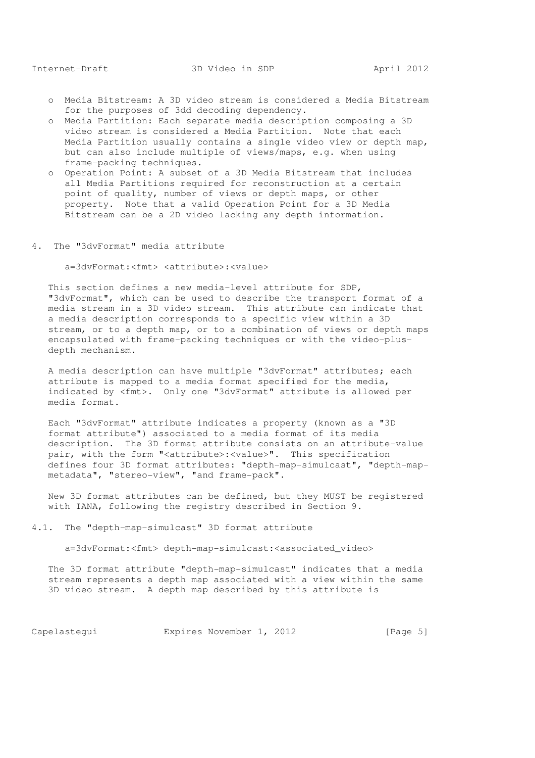- o Media Bitstream: A 3D video stream is considered a Media Bitstream for the purposes of 3dd decoding dependency.
- o Media Partition: Each separate media description composing a 3D video stream is considered a Media Partition. Note that each Media Partition usually contains a single video view or depth map, but can also include multiple of views/maps, e.g. when using frame-packing techniques.
- o Operation Point: A subset of a 3D Media Bitstream that includes all Media Partitions required for reconstruction at a certain point of quality, number of views or depth maps, or other property. Note that a valid Operation Point for a 3D Media Bitstream can be a 2D video lacking any depth information.
- 4. The "3dvFormat" media attribute

a=3dvFormat:<fmt> <attribute>:<value>

 This section defines a new media-level attribute for SDP, "3dvFormat", which can be used to describe the transport format of a media stream in a 3D video stream. This attribute can indicate that a media description corresponds to a specific view within a 3D stream, or to a depth map, or to a combination of views or depth maps encapsulated with frame-packing techniques or with the video-plus depth mechanism.

 A media description can have multiple "3dvFormat" attributes; each attribute is mapped to a media format specified for the media, indicated by <fmt>. Only one "3dvFormat" attribute is allowed per media format.

 Each "3dvFormat" attribute indicates a property (known as a "3D format attribute") associated to a media format of its media description. The 3D format attribute consists on an attribute-value pair, with the form "<attribute>:<value>". This specification defines four 3D format attributes: "depth-map-simulcast", "depth-map metadata", "stereo-view", "and frame-pack".

 New 3D format attributes can be defined, but they MUST be registered with IANA, following the registry described in Section 9.

4.1. The "depth-map-simulcast" 3D format attribute

a=3dvFormat:<fmt> depth-map-simulcast:<associated\_video>

 The 3D format attribute "depth-map-simulcast" indicates that a media stream represents a depth map associated with a view within the same 3D video stream. A depth map described by this attribute is

Capelastequi **Expires November 1, 2012** [Page 5]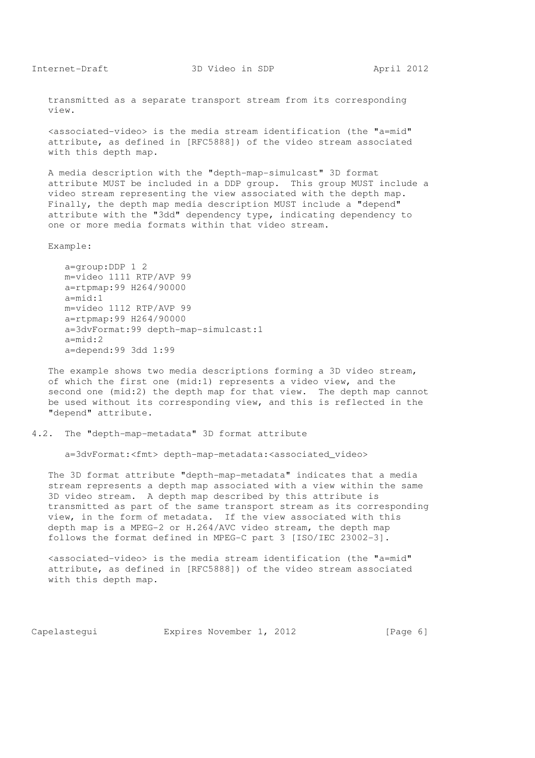transmitted as a separate transport stream from its corresponding view.

 <associated-video> is the media stream identification (the "a=mid" attribute, as defined in [RFC5888]) of the video stream associated with this depth map.

 A media description with the "depth-map-simulcast" 3D format attribute MUST be included in a DDP group. This group MUST include a video stream representing the view associated with the depth map. Finally, the depth map media description MUST include a "depend" attribute with the "3dd" dependency type, indicating dependency to one or more media formats within that video stream.

Example:

 a=group:DDP 1 2 m=video 1111 RTP/AVP 99 a=rtpmap:99 H264/90000 a=mid:1 m=video 1112 RTP/AVP 99 a=rtpmap:99 H264/90000 a=3dvFormat:99 depth-map-simulcast:1 a=mid:2 a=depend:99 3dd 1:99

 The example shows two media descriptions forming a 3D video stream, of which the first one (mid:1) represents a video view, and the second one (mid:2) the depth map for that view. The depth map cannot be used without its corresponding view, and this is reflected in the "depend" attribute.

#### 4.2. The "depth-map-metadata" 3D format attribute

a=3dvFormat:<fmt> depth-map-metadata:<associated\_video>

 The 3D format attribute "depth-map-metadata" indicates that a media stream represents a depth map associated with a view within the same 3D video stream. A depth map described by this attribute is transmitted as part of the same transport stream as its corresponding view, in the form of metadata. If the view associated with this depth map is a MPEG-2 or H.264/AVC video stream, the depth map follows the format defined in MPEG-C part 3 [ISO/IEC 23002-3].

 <associated-video> is the media stream identification (the "a=mid" attribute, as defined in [RFC5888]) of the video stream associated with this depth map.

Capelastequi **Expires November 1, 2012** [Page 6]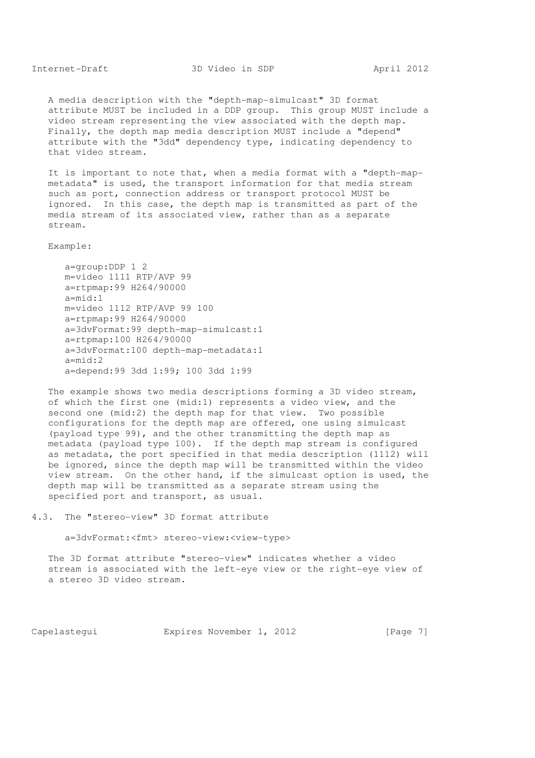A media description with the "depth-map-simulcast" 3D format attribute MUST be included in a DDP group. This group MUST include a video stream representing the view associated with the depth map. Finally, the depth map media description MUST include a "depend" attribute with the "3dd" dependency type, indicating dependency to that video stream.

 It is important to note that, when a media format with a "depth-map metadata" is used, the transport information for that media stream such as port, connection address or transport protocol MUST be ignored. In this case, the depth map is transmitted as part of the media stream of its associated view, rather than as a separate stream.

Example:

 a=group:DDP 1 2 m=video 1111 RTP/AVP 99 a=rtpmap:99 H264/90000 a=mid:1 m=video 1112 RTP/AVP 99 100 a=rtpmap:99 H264/90000 a=3dvFormat:99 depth-map-simulcast:1 a=rtpmap:100 H264/90000 a=3dvFormat:100 depth-map-metadata:1 a=mid:2 a=depend:99 3dd 1:99; 100 3dd 1:99

 The example shows two media descriptions forming a 3D video stream, of which the first one (mid:1) represents a video view, and the second one (mid:2) the depth map for that view. Two possible configurations for the depth map are offered, one using simulcast (payload type 99), and the other transmitting the depth map as metadata (payload type 100). If the depth map stream is configured as metadata, the port specified in that media description (1112) will be ignored, since the depth map will be transmitted within the video view stream. On the other hand, if the simulcast option is used, the depth map will be transmitted as a separate stream using the specified port and transport, as usual.

```
4.3. The "stereo-view" 3D format attribute
```
a=3dvFormat:<fmt> stereo-view:<view-type>

 The 3D format attribute "stereo-view" indicates whether a video stream is associated with the left-eye view or the right-eye view of a stereo 3D video stream.

Capelastequi **Expires November 1, 2012** [Page 7]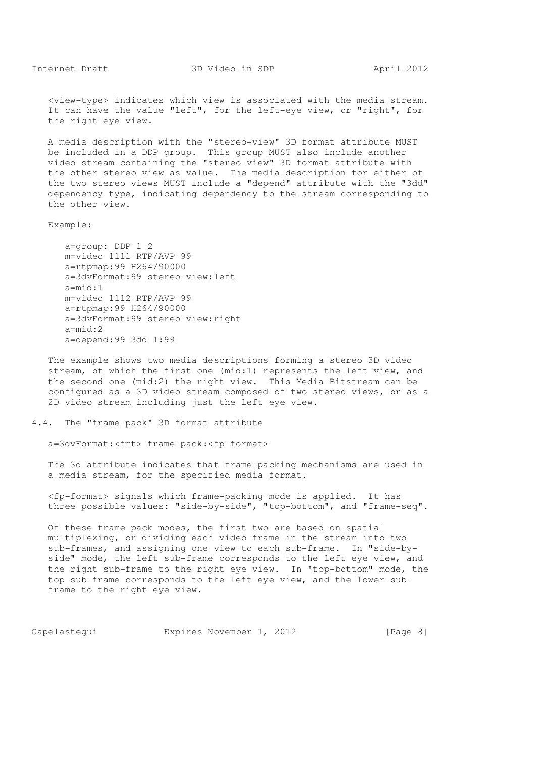<view-type> indicates which view is associated with the media stream. It can have the value "left", for the left-eye view, or "right", for the right-eye view.

 A media description with the "stereo-view" 3D format attribute MUST be included in a DDP group. This group MUST also include another video stream containing the "stereo-view" 3D format attribute with the other stereo view as value. The media description for either of the two stereo views MUST include a "depend" attribute with the "3dd" dependency type, indicating dependency to the stream corresponding to the other view.

Example:

 a=group: DDP 1 2 m=video 1111 RTP/AVP 99 a=rtpmap:99 H264/90000 a=3dvFormat:99 stereo-view:left  $a=midd\cdot1$  m=video 1112 RTP/AVP 99 a=rtpmap:99 H264/90000 a=3dvFormat:99 stereo-view:right  $a=mid:2$ a=depend:99 3dd 1:99

 The example shows two media descriptions forming a stereo 3D video stream, of which the first one (mid:1) represents the left view, and the second one (mid:2) the right view. This Media Bitstream can be configured as a 3D video stream composed of two stereo views, or as a 2D video stream including just the left eye view.

## 4.4. The "frame-pack" 3D format attribute

a=3dvFormat:<fmt> frame-pack:<fp-format>

 The 3d attribute indicates that frame-packing mechanisms are used in a media stream, for the specified media format.

 <fp-format> signals which frame-packing mode is applied. It has three possible values: "side-by-side", "top-bottom", and "frame-seq".

 Of these frame-pack modes, the first two are based on spatial multiplexing, or dividing each video frame in the stream into two sub-frames, and assigning one view to each sub-frame. In "side-by side" mode, the left sub-frame corresponds to the left eye view, and the right sub-frame to the right eye view. In "top-bottom" mode, the top sub-frame corresponds to the left eye view, and the lower sub frame to the right eye view.

Capelastequi **Expires November 1, 2012** [Page 8]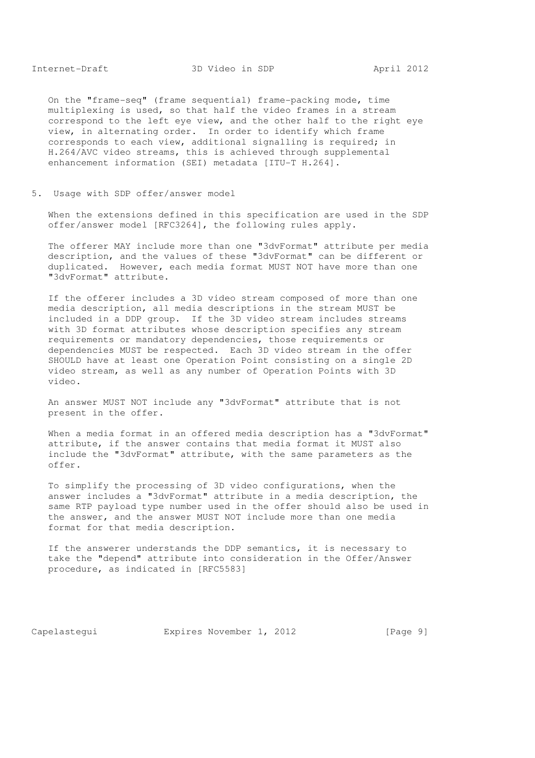On the "frame-seq" (frame sequential) frame-packing mode, time multiplexing is used, so that half the video frames in a stream correspond to the left eye view, and the other half to the right eye view, in alternating order. In order to identify which frame corresponds to each view, additional signalling is required; in H.264/AVC video streams, this is achieved through supplemental enhancement information (SEI) metadata [ITU-T H.264].

5. Usage with SDP offer/answer model

 When the extensions defined in this specification are used in the SDP offer/answer model [RFC3264], the following rules apply.

 The offerer MAY include more than one "3dvFormat" attribute per media description, and the values of these "3dvFormat" can be different or duplicated. However, each media format MUST NOT have more than one "3dvFormat" attribute.

 If the offerer includes a 3D video stream composed of more than one media description, all media descriptions in the stream MUST be included in a DDP group. If the 3D video stream includes streams with 3D format attributes whose description specifies any stream requirements or mandatory dependencies, those requirements or dependencies MUST be respected. Each 3D video stream in the offer SHOULD have at least one Operation Point consisting on a single 2D video stream, as well as any number of Operation Points with 3D video.

 An answer MUST NOT include any "3dvFormat" attribute that is not present in the offer.

When a media format in an offered media description has a "3dvFormat" attribute, if the answer contains that media format it MUST also include the "3dvFormat" attribute, with the same parameters as the offer.

 To simplify the processing of 3D video configurations, when the answer includes a "3dvFormat" attribute in a media description, the same RTP payload type number used in the offer should also be used in the answer, and the answer MUST NOT include more than one media format for that media description.

 If the answerer understands the DDP semantics, it is necessary to take the "depend" attribute into consideration in the Offer/Answer procedure, as indicated in [RFC5583]

Capelastequi **Expires November 1, 2012** [Page 9]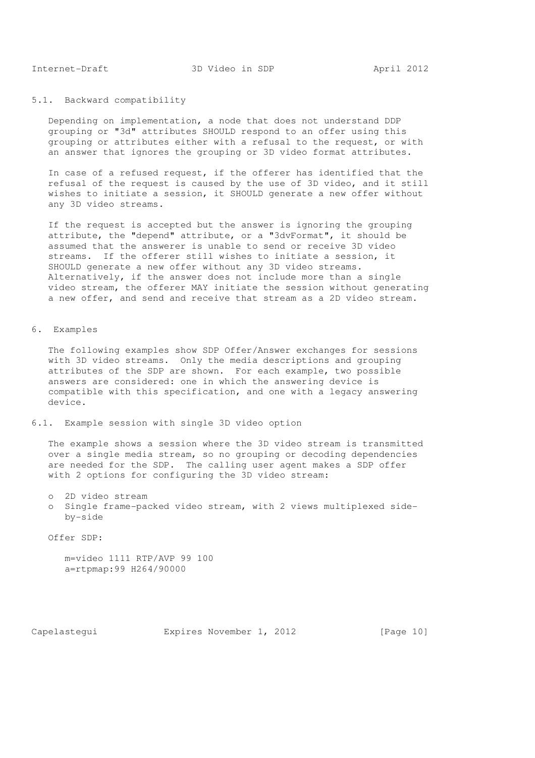## 5.1. Backward compatibility

 Depending on implementation, a node that does not understand DDP grouping or "3d" attributes SHOULD respond to an offer using this grouping or attributes either with a refusal to the request, or with an answer that ignores the grouping or 3D video format attributes.

 In case of a refused request, if the offerer has identified that the refusal of the request is caused by the use of 3D video, and it still wishes to initiate a session, it SHOULD generate a new offer without any 3D video streams.

 If the request is accepted but the answer is ignoring the grouping attribute, the "depend" attribute, or a "3dvFormat", it should be assumed that the answerer is unable to send or receive 3D video streams. If the offerer still wishes to initiate a session, it SHOULD generate a new offer without any 3D video streams. Alternatively, if the answer does not include more than a single video stream, the offerer MAY initiate the session without generating a new offer, and send and receive that stream as a 2D video stream.

## 6. Examples

 The following examples show SDP Offer/Answer exchanges for sessions with 3D video streams. Only the media descriptions and grouping attributes of the SDP are shown. For each example, two possible answers are considered: one in which the answering device is compatible with this specification, and one with a legacy answering device.

6.1. Example session with single 3D video option

 The example shows a session where the 3D video stream is transmitted over a single media stream, so no grouping or decoding dependencies are needed for the SDP. The calling user agent makes a SDP offer with 2 options for configuring the 3D video stream:

o 2D video stream

 o Single frame-packed video stream, with 2 views multiplexed side by-side

Offer SDP:

 m=video 1111 RTP/AVP 99 100 a=rtpmap:99 H264/90000

Capelastequi Expires November 1, 2012 [Page 10]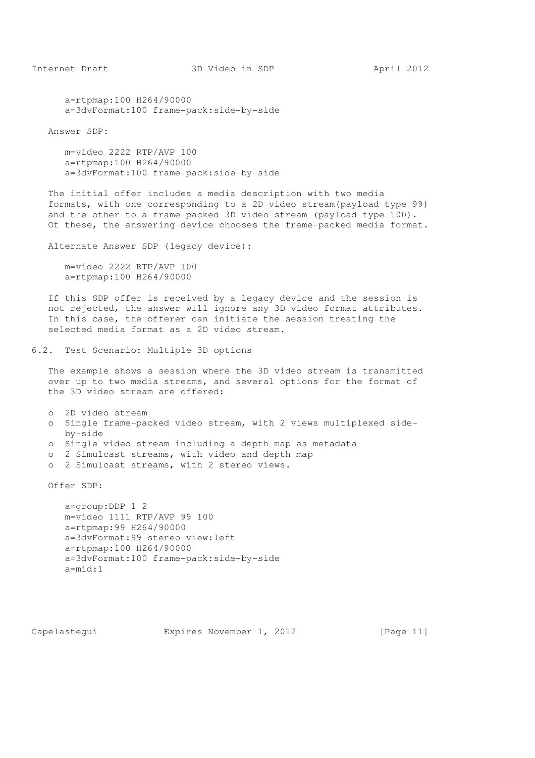a=rtpmap:100 H264/90000 a=3dvFormat:100 frame-pack:side-by-side

Answer SDP:

 m=video 2222 RTP/AVP 100 a=rtpmap:100 H264/90000 a=3dvFormat:100 frame-pack:side-by-side

 The initial offer includes a media description with two media formats, with one corresponding to a 2D video stream(payload type 99) and the other to a frame-packed 3D video stream (payload type 100). Of these, the answering device chooses the frame-packed media format.

Alternate Answer SDP (legacy device):

 m=video 2222 RTP/AVP 100 a=rtpmap:100 H264/90000

 If this SDP offer is received by a legacy device and the session is not rejected, the answer will ignore any 3D video format attributes. In this case, the offerer can initiate the session treating the selected media format as a 2D video stream.

6.2. Test Scenario: Multiple 3D options

 The example shows a session where the 3D video stream is transmitted over up to two media streams, and several options for the format of the 3D video stream are offered:

 o 2D video stream o Single frame-packed video stream, with 2 views multiplexed side by-side

o Single video stream including a depth map as metadata

- o 2 Simulcast streams, with video and depth map
- o 2 Simulcast streams, with 2 stereo views.

Offer SDP:

 a=group:DDP 1 2 m=video 1111 RTP/AVP 99 100 a=rtpmap:99 H264/90000 a=3dvFormat:99 stereo-view:left a=rtpmap:100 H264/90000 a=3dvFormat:100 frame-pack:side-by-side a=mid:1

Capelastequi Expires November 1, 2012 [Page 11]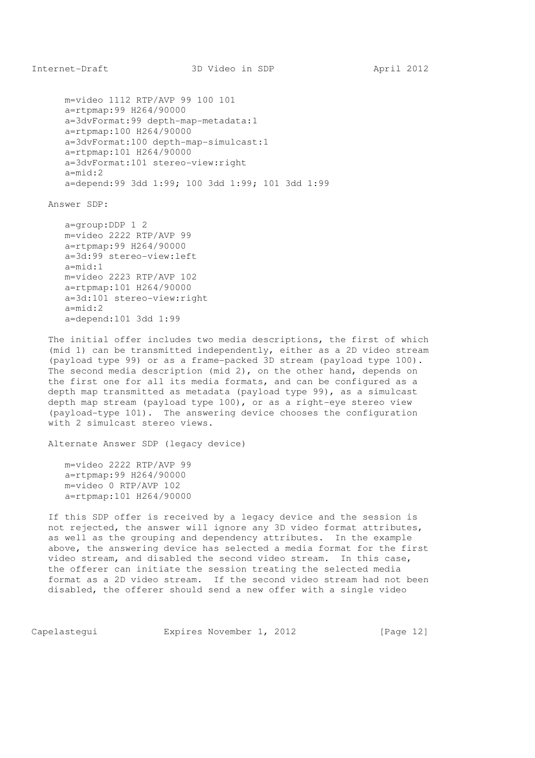m=video 1112 RTP/AVP 99 100 101 a=rtpmap:99 H264/90000 a=3dvFormat:99 depth-map-metadata:1 a=rtpmap:100 H264/90000 a=3dvFormat:100 depth-map-simulcast:1 a=rtpmap:101 H264/90000 a=3dvFormat:101 stereo-view:right a=mid:2 a=depend:99 3dd 1:99; 100 3dd 1:99; 101 3dd 1:99

Answer SDP:

 a=group:DDP 1 2 m=video 2222 RTP/AVP 99 a=rtpmap:99 H264/90000 a=3d:99 stereo-view:left  $a = m \cdot d \cdot 1$  m=video 2223 RTP/AVP 102 a=rtpmap:101 H264/90000 a=3d:101 stereo-view:right a=mid:2 a=depend:101 3dd 1:99

 The initial offer includes two media descriptions, the first of which (mid 1) can be transmitted independently, either as a 2D video stream (payload type 99) or as a frame-packed 3D stream (payload type 100). The second media description (mid 2), on the other hand, depends on the first one for all its media formats, and can be configured as a depth map transmitted as metadata (payload type 99), as a simulcast depth map stream (payload type 100), or as a right-eye stereo view (payload-type 101). The answering device chooses the configuration with 2 simulcast stereo views.

Alternate Answer SDP (legacy device)

 m=video 2222 RTP/AVP 99 a=rtpmap:99 H264/90000 m=video 0 RTP/AVP 102 a=rtpmap:101 H264/90000

 If this SDP offer is received by a legacy device and the session is not rejected, the answer will ignore any 3D video format attributes, as well as the grouping and dependency attributes. In the example above, the answering device has selected a media format for the first video stream, and disabled the second video stream. In this case, the offerer can initiate the session treating the selected media format as a 2D video stream. If the second video stream had not been disabled, the offerer should send a new offer with a single video

Capelastequi **Expires November 1, 2012** [Page 12]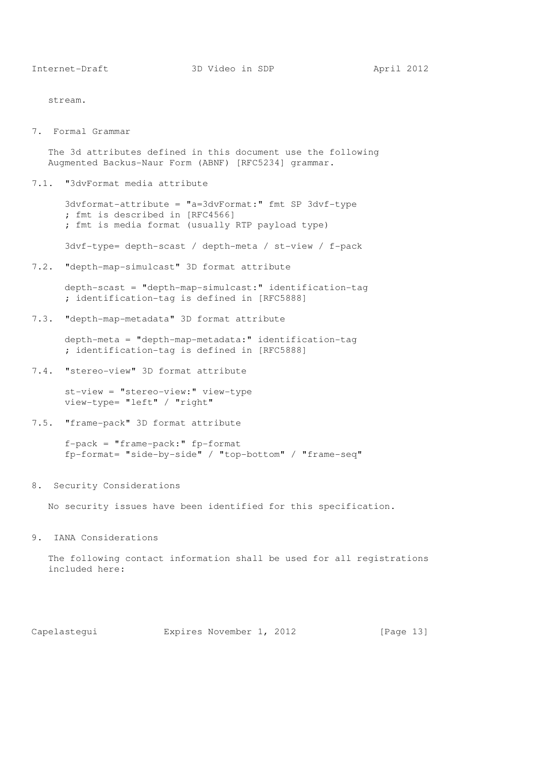stream.

7. Formal Grammar

 The 3d attributes defined in this document use the following Augmented Backus-Naur Form (ABNF) [RFC5234] grammar.

7.1. "3dvFormat media attribute

 3dvformat-attribute = "a=3dvFormat:" fmt SP 3dvf-type ; fmt is described in [RFC4566] ; fmt is media format (usually RTP payload type)

3dvf-type= depth-scast / depth-meta / st-view / f-pack

7.2. "depth-map-simulcast" 3D format attribute

 depth-scast = "depth-map-simulcast:" identification-tag ; identification-tag is defined in [RFC5888]

7.3. "depth-map-metadata" 3D format attribute

 depth-meta = "depth-map-metadata:" identification-tag ; identification-tag is defined in [RFC5888]

7.4. "stereo-view" 3D format attribute

 st-view = "stereo-view:" view-type view-type= "left" / "right"

7.5. "frame-pack" 3D format attribute

 f-pack = "frame-pack:" fp-format fp-format= "side-by-side" / "top-bottom" / "frame-seq"

8. Security Considerations

No security issues have been identified for this specification.

9. IANA Considerations

 The following contact information shall be used for all registrations included here:

Capelastequi **Expires November 1, 2012** [Page 13]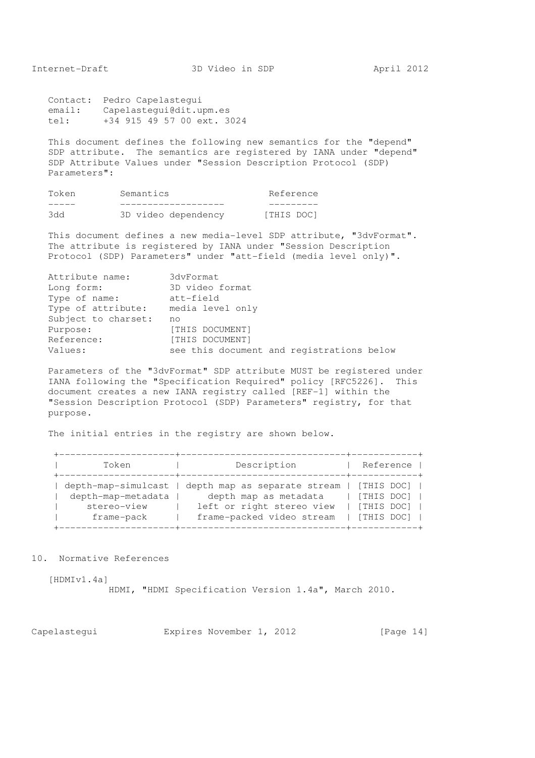Contact: Pedro Capelastegui email: Capelastegui@dit.upm.es tel: +34 915 49 57 00 ext. 3024

 This document defines the following new semantics for the "depend" SDP attribute. The semantics are registered by IANA under "depend" SDP Attribute Values under "Session Description Protocol (SDP) Parameters":

| Token | Semantics           | Reference |
|-------|---------------------|-----------|
|       |                     |           |
| 344   | 3D video dependency | THIS DOC1 |

 This document defines a new media-level SDP attribute, "3dvFormat". The attribute is registered by IANA under "Session Description Protocol (SDP) Parameters" under "att-field (media level only)".

| Attribute name:     | 3dvFormat                                 |
|---------------------|-------------------------------------------|
| Long form:          | 3D video format                           |
| Type of name:       | att-field                                 |
| Type of attribute:  | media level only                          |
| Subject to charset: | no                                        |
| Purpose:            | [THIS DOCUMENT]                           |
| Reference:          | [THIS DOCUMENT]                           |
| Values:             | see this document and registrations below |

 Parameters of the "3dvFormat" SDP attribute MUST be registered under IANA following the "Specification Required" policy [RFC5226]. This document creates a new IANA registry called [REF-1] within the "Session Description Protocol (SDP) Parameters" registry, for that purpose.

The initial entries in the registry are shown below.

| Token               | Description                  | Reference  |
|---------------------|------------------------------|------------|
| depth-map-simulcast | depth map as separate stream | [THIS DOC] |
| depth-map-metadata  | depth map as metadata        | [THIS DOC] |
| stereo-view         | left or right stereo view    | [THIS DOC] |
| frame-pack          | frame-packed video stream    | [THIS DOC] |
|                     |                              |            |

10. Normative References

[HDMIv1.4a]

HDMI, "HDMI Specification Version 1.4a", March 2010.

Capelastegui Expires November 1, 2012 [Page 14]